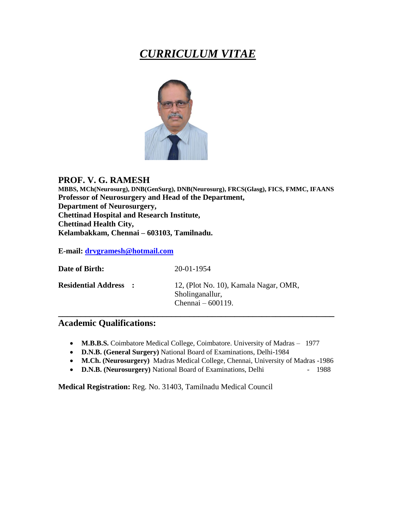# *CURRICULUM VITAE*



# **PROF. V. G. RAMESH**

**MBBS, MCh(Neurosurg), DNB(GenSurg), DNB(Neurosurg), FRCS(Glasg), FICS, FMMC, IFAANS Professor of Neurosurgery and Head of the Department, Department of Neurosurgery, Chettinad Hospital and Research Institute, Chettinad Health City, Kelambakkam, Chennai – 603103, Tamilnadu.**

**E-mail: [drvgramesh@hotmail.com](mailto:drvgramesh@hotmail.com)**

| Date of Birth:               | 20-01-1954                                                                      |
|------------------------------|---------------------------------------------------------------------------------|
| <b>Residential Address :</b> | 12, (Plot No. 10), Kamala Nagar, OMR,<br>Sholinganallur,<br>Chennai $-600119$ . |

# **Academic Qualifications:**

- **M.B.B.S.** Coimbatore Medical College, Coimbatore. University of Madras 1977
- **D.N.B. (General Surgery)** National Board of Examinations, Delhi-1984
- **M.Ch. (Neurosurgery)** Madras Medical College, Chennai, University of Madras -1986
- **D.N.B. (Neurosurgery)** National Board of Examinations, Delhi 1988

**Medical Registration:** Reg. No. 31403, Tamilnadu Medical Council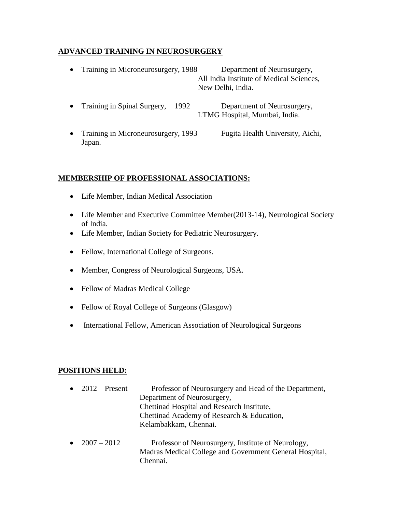# **ADVANCED TRAINING IN NEUROSURGERY**

- Training in Microneurosurgery, 1988 Department of Neurosurgery, All India Institute of Medical Sciences, New Delhi, India.
- Training in Spinal Surgery, 1992 Department of Neurosurgery, LTMG Hospital, Mumbai, India.
- Training in Microneurosurgery, 1993 Fugita Health University, Aichi, Japan.

# **MEMBERSHIP OF PROFESSIONAL ASSOCIATIONS:**

- Life Member, Indian Medical Association
- Life Member and Executive Committee Member(2013-14), Neurological Society of India.
- Life Member, Indian Society for Pediatric Neurosurgery.
- Fellow, International College of Surgeons.
- Member, Congress of Neurological Surgeons, USA.
- Fellow of Madras Medical College
- Fellow of Royal College of Surgeons (Glasgow)
- International Fellow, American Association of Neurological Surgeons

# **POSITIONS HELD:**

| $\bullet$ 2012 – Present | Professor of Neurosurgery and Head of the Department,<br>Department of Neurosurgery,<br>Chettinad Hospital and Research Institute,<br>Chettinad Academy of Research & Education,<br>Kelambakkam, Chennai. |
|--------------------------|-----------------------------------------------------------------------------------------------------------------------------------------------------------------------------------------------------------|
| • $2007 - 2012$          | Professor of Neurosurgery, Institute of Neurology,<br>Madras Medical College and Government General Hospital,<br>Chennai.                                                                                 |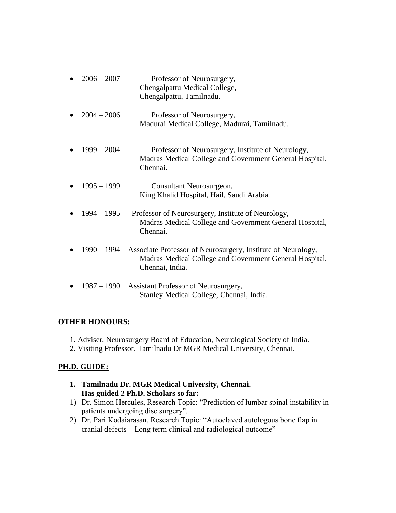| $2006 - 2007$ | Professor of Neurosurgery,<br>Chengalpattu Medical College,<br>Chengalpattu, Tamilnadu.                                                    |
|---------------|--------------------------------------------------------------------------------------------------------------------------------------------|
| $2004 - 2006$ | Professor of Neurosurgery,<br>Madurai Medical College, Madurai, Tamilnadu.                                                                 |
| $1999 - 2004$ | Professor of Neurosurgery, Institute of Neurology,<br>Madras Medical College and Government General Hospital,<br>Chennai.                  |
| $1995 - 1999$ | Consultant Neurosurgeon,<br>King Khalid Hospital, Hail, Saudi Arabia.                                                                      |
| $1994 - 1995$ | Professor of Neurosurgery, Institute of Neurology,<br>Madras Medical College and Government General Hospital,<br>Chennai.                  |
| $1990 - 1994$ | Associate Professor of Neurosurgery, Institute of Neurology,<br>Madras Medical College and Government General Hospital,<br>Chennai, India. |
| 1987 – 1990   | Assistant Professor of Neurosurgery,<br>Stanley Medical College, Chennai, India.                                                           |

# **OTHER HONOURS:**

- 1. Adviser, Neurosurgery Board of Education, Neurological Society of India.
- 2. Visiting Professor, Tamilnadu Dr MGR Medical University, Chennai.

# **PH.D. GUIDE:**

- **1. Tamilnadu Dr. MGR Medical University, Chennai. Has guided 2 Ph.D. Scholars so far:**
- 1) Dr. Simon Hercules, Research Topic: "Prediction of lumbar spinal instability in patients undergoing disc surgery".
- 2) Dr. Pari Kodaiarasan, Research Topic: "Autoclaved autologous bone flap in cranial defects – Long term clinical and radiological outcome"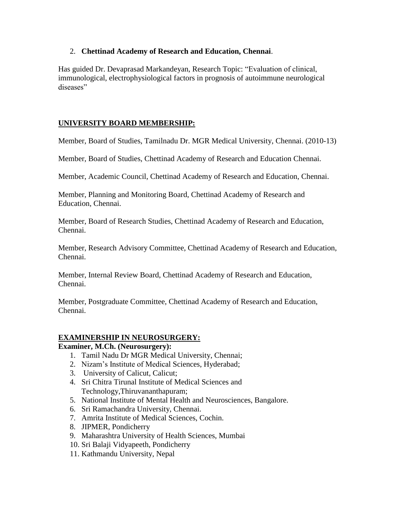## 2. **Chettinad Academy of Research and Education, Chennai**.

Has guided Dr. Devaprasad Markandeyan, Research Topic: "Evaluation of clinical, immunological, electrophysiological factors in prognosis of autoimmune neurological diseases"

# **UNIVERSITY BOARD MEMBERSHIP:**

Member, Board of Studies, Tamilnadu Dr. MGR Medical University, Chennai. (2010-13)

Member, Board of Studies, Chettinad Academy of Research and Education Chennai.

Member, Academic Council, Chettinad Academy of Research and Education, Chennai.

Member, Planning and Monitoring Board, Chettinad Academy of Research and Education, Chennai.

Member, Board of Research Studies, Chettinad Academy of Research and Education, Chennai.

Member, Research Advisory Committee, Chettinad Academy of Research and Education, Chennai.

Member, Internal Review Board, Chettinad Academy of Research and Education, Chennai.

Member, Postgraduate Committee, Chettinad Academy of Research and Education, Chennai.

# **EXAMINERSHIP IN NEUROSURGERY:**

## **Examiner, M.Ch. (Neurosurgery):**

- 1. Tamil Nadu Dr MGR Medical University, Chennai;
- 2. Nizam's Institute of Medical Sciences, Hyderabad;
- 3. University of Calicut, Calicut;
- 4. Sri Chitra Tirunal Institute of Medical Sciences and Technology,Thiruvananthapuram;
- 5. National Institute of Mental Health and Neurosciences, Bangalore.
- 6. Sri Ramachandra University, Chennai.
- 7. Amrita Institute of Medical Sciences, Cochin.
- 8. JIPMER, Pondicherry
- 9. Maharashtra University of Health Sciences, Mumbai
- 10. Sri Balaji Vidyapeeth, Pondicherry
- 11. Kathmandu University, Nepal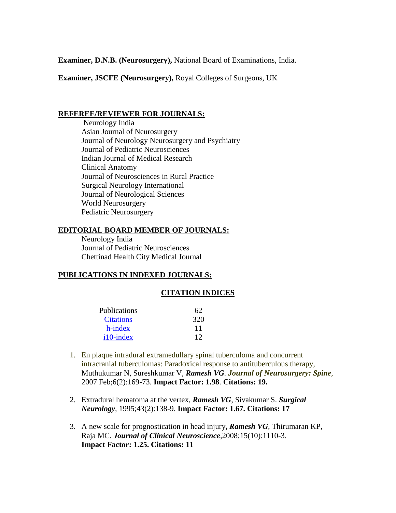**Examiner, D.N.B. (Neurosurgery),** National Board of Examinations, India.

**Examiner, JSCFE (Neurosurgery),** Royal Colleges of Surgeons, UK

#### **REFEREE/REVIEWER FOR JOURNALS:**

Neurology India Asian Journal of Neurosurgery Journal of Neurology Neurosurgery and Psychiatry Journal of Pediatric Neurosciences Indian Journal of Medical Research Clinical Anatomy Journal of Neurosciences in Rural Practice Surgical Neurology International Journal of Neurological Sciences World Neurosurgery Pediatric Neurosurgery

## **EDITORIAL BOARD MEMBER OF JOURNALS:**

Neurology India Journal of Pediatric Neurosciences Chettinad Health City Medical Journal

#### **PUBLICATIONS IN INDEXED JOURNALS:**

#### **CITATION INDICES**

| <b>Publications</b> | 62  |
|---------------------|-----|
| <b>Citations</b>    | 320 |
| h-index             | 11  |
| $i10$ -index        | 12  |

- 1. En plaque intradural extramedullary spinal tuberculoma and concurrent intracranial tuberculomas: Paradoxical response to antituberculous therapy, Muthukumar N, Sureshkumar V, *Ramesh VG. Journal of Neurosurgery: Spine,*  2007 Feb;6(2):169-73. **Impact Factor: 1.98**. **Citations: 19.**
- 2. Extradural hematoma at the vertex, *Ramesh VG*, Sivakumar S. *Surgical Neurology,* 1995;43(2):138-9. **Impact Factor: 1.67. Citations: 17**
- 3. A new scale for prognostication in head injury**,** *Ramesh VG,* Thirumaran KP, Raja MC. *Journal of Clinical Neuroscience,*2008;15(10):1110-3. **Impact Factor: 1.25. Citations: 11**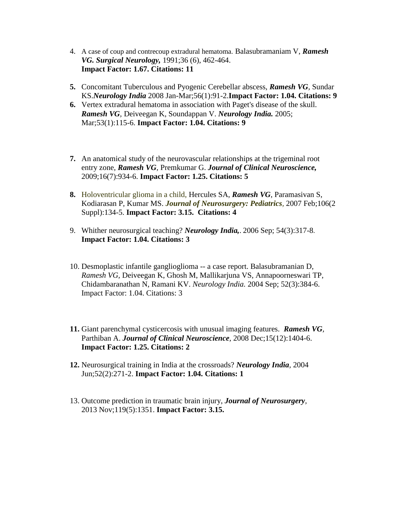- 4. [A case of coup and contrecoup extradural hematoma.](http://scholar.google.co.in/citations?view_op=view_citation&hl=en&user=R26hcsgAAAAJ&citation_for_view=R26hcsgAAAAJ:ULOm3_A8WrAC) Balasubramaniam V, *Ramesh VG. Surgical Neurology,* 1991;36 (6), 462-464. **Impact Factor: 1.67. Citations: 11**
- **5.** Concomitant Tuberculous and Pyogenic Cerebellar abscess, *Ramesh VG,* Sundar KS.*Neurology India* 2008 Jan-Mar;56(1):91-2.**Impact Factor: 1.04. Citations: 9**
- **6.** [Vertex extradural hematoma in association with Paget's disease of the skull.](http://www.ncbi.nlm.nih.gov/pubmed/15805671) *Ramesh VG,* Deiveegan K, Soundappan V. *Neurology India.* 2005; Mar;53(1):115-6. **Impact Factor: 1.04. Citations: 9**
- **7.** An anatomical study of the neurovascular relationships at the trigeminal root entry zone, *Ramesh VG,* Premkumar G. *Journal of Clinical Neuroscience,* 2009;16(7):934-6. **Impact Factor: 1.25. Citations: 5**
- **8.** Holoventricular glioma in a child, Hercules SA, *Ramesh VG*, Paramasivan S, Kodiarasan P, Kumar MS. *Journal of Neurosurgery: Pediatrics,* 2007 Feb;106(2 Suppl):134-5. **Impact Factor: 3.15. Citations: 4**
- 9. Whither neurosurgical teaching? *Neurology India,*. 2006 Sep; 54(3):317-8. **Impact Factor: 1.04. Citations: 3**
- 10. [Desmoplastic infantile ganglioglioma --](http://www.ncbi.nlm.nih.gov/pubmed/15472436) a case report. Balasubramanian D, *Ramesh VG,* Deiveegan K, Ghosh M, Mallikarjuna VS, Annapoorneswari TP, Chidambaranathan N, Ramani KV. *Neurology India.* 2004 Sep; 52(3):384-6. Impact Factor: 1.04. Citations: 3
- **11.** Giant parenchymal cysticercosis with unusual imaging features. *Ramesh VG,* Parthiban A. *Journal of Clinical Neuroscience,* 2008 Dec;15(12):1404-6. **Impact Factor: 1.25. Citations: 2**
- **12.** Neurosurgical training in India at the crossroads? *Neurology India,* 2004 Jun;52(2):271-2. **Impact Factor: 1.04. Citations: 1**
- 13. Outcome prediction in traumatic brain injury, *Journal of Neurosurgery,*  2013 Nov;119(5):1351. **Impact Factor: 3.15.**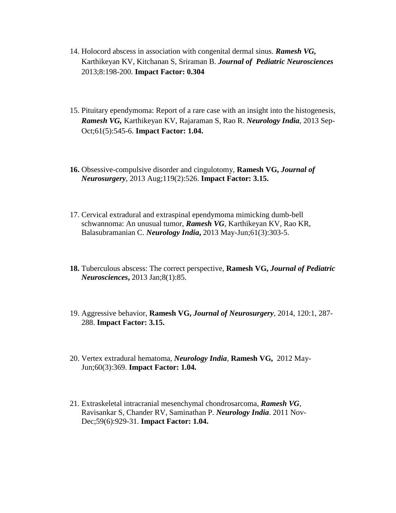- 14. Holocord abscess in association with congenital dermal sinus. *Ramesh VG,* Karthikeyan KV, Kitchanan S, Sriraman B. *Journal of Pediatric Neurosciences* 2013;8:198-200. **Impact Factor: 0.304**
- 15. Pituitary ependymoma: Report of a rare case with an insight into the histogenesis, *Ramesh VG,* Karthikeyan KV, Rajaraman S, Rao R. *Neurology India*, 2013 Sep-Oct;61(5):545-6. **Impact Factor: 1.04.**
- **16.** Obsessive-compulsive disorder and cingulotomy, **Ramesh VG,** *Journal of Neurosurgery,* 2013 Aug;119(2):526. **Impact Factor: 3.15.**
- 17. Cervical extradural and extraspinal ependymoma mimicking dumb-bell schwannoma: An unusual tumor, *Ramesh VG,* Karthikeyan KV, Rao KR, Balasubramanian C. *Neurology India***,** 2013 May-Jun;61(3):303-5.
- **18.** Tuberculous abscess: The correct perspective, **Ramesh VG,** *Journal of Pediatric Neurosciences***,** 2013 Jan;8(1):85.
- 19. Aggressive behavior, **Ramesh VG,** *Journal of Neurosurgery,* 2014, 120:1, 287- 288. **Impact Factor: 3.15.**
- 20. [Vertex extradural hematoma,](http://www.ncbi.nlm.nih.gov/pubmed/22824720) *Neurology India,* **Ramesh VG,** 2012 May-Jun;60(3):369. **Impact Factor: 1.04.**
- 21. [Extraskeletal intracranial mesenchymal chondrosarcoma,](http://www.ncbi.nlm.nih.gov/pubmed/22234225) *Ramesh VG*, Ravisankar S, Chander RV, Saminathan P. *Neurology India*. 2011 Nov-Dec;59(6):929-31. **Impact Factor: 1.04.**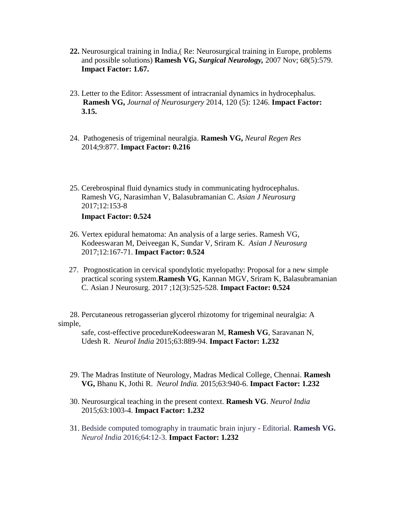- **22.** Neurosurgical training in India,( [Re: Neurosurgical training in Europe, problems](http://scholar.google.co.in/citations?view_op=view_citation&hl=en&user=R26hcsgAAAAJ&cstart=20&citation_for_view=R26hcsgAAAAJ:kNdYIx-mwKoC)  [and possible solutions\)](http://scholar.google.co.in/citations?view_op=view_citation&hl=en&user=R26hcsgAAAAJ&cstart=20&citation_for_view=R26hcsgAAAAJ:kNdYIx-mwKoC) **Ramesh VG,** *Surgical Neurology,* 2007 Nov; 68(5):579. **Impact Factor: 1.67.**
- 23. [Letter to the Editor: Assessment of intracranial dynamics in hydrocephalus.](https://www.researchgate.net/publication/260440509_Letter_to_the_Editor_Assessment_of_intracranial_dynamics_in_hydrocephalus?ev=prf_pub) **Ramesh VG,** *Journal of Neurosurgery* 2014, 120 (5): 1246. **Impact Factor: 3.15.**
- 24. Pathogenesis of trigeminal neuralgia. **Ramesh VG,** *Neural Regen Res* 2014;9:877. **Impact Factor: 0.216**
- 25. Cerebrospinal fluid dynamics study in communicating hydrocephalus. Ramesh VG, Narasimhan V, Balasubramanian C. *Asian J Neurosurg*  2017;12:153-8 **Impact Factor: 0.524**
- 26. Vertex epidural hematoma: An analysis of a large series. Ramesh VG, Kodeeswaran M, Deiveegan K, Sundar V, Sriram K. *Asian J Neurosurg*  2017;12:167-71. **Impact Factor: 0.524**
- 27. [Prognostication in cervical spondylotic myelopathy: Proposal for a new simple](https://www.ncbi.nlm.nih.gov/pubmed/28761535)  [practical scoring system.](https://www.ncbi.nlm.nih.gov/pubmed/28761535)**Ramesh VG**, Kannan MGV, Sriram K, Balasubramanian C. Asian J Neurosurg. 2017 ;12(3):525-528. **[Impact Factor: 0.524](https://www.researchgate.net/publication/269562306_Prognostication_in_cervical_spondylotic_myelopathy_Proposal_for_a_new_simple_practical_scoring_system?ev=prf_pub)**

 [28. Percutaneous retrogasserian glycerol rhizotomy for trigeminal neuralgia: A](https://www.researchgate.net/publication/269562306_Prognostication_in_cervical_spondylotic_myelopathy_Proposal_for_a_new_simple_practical_scoring_system?ev=prf_pub)  [simple,](https://www.researchgate.net/publication/269562306_Prognostication_in_cervical_spondylotic_myelopathy_Proposal_for_a_new_simple_practical_scoring_system?ev=prf_pub)

 [safe, cost-effective procedureKodeeswaran M,](https://www.researchgate.net/publication/269562306_Prognostication_in_cervical_spondylotic_myelopathy_Proposal_for_a_new_simple_practical_scoring_system?ev=prf_pub) **Ramesh VG**, Saravanan N, Udesh R. *Neurol India* 2015;63:889-94. **[Impact Factor: 1.232](https://www.researchgate.net/publication/269562306_Prognostication_in_cervical_spondylotic_myelopathy_Proposal_for_a_new_simple_practical_scoring_system?ev=prf_pub)**

- 29. The Madras Institute of Neurology, Madras Medical College, Chennai. **Ramesh VG,** Bhanu K, Jothi R. *Neurol India.* 2015;63:940-6. **Impact Factor: 1.232**
- 30. Neurosurgical teaching in the present context. **Ramesh VG**. *Neurol India*  2015;63:1003-4. **Impact Factor: 1.232**
- 31. Bedside computed tomography in traumatic brain injury Editorial. **Ramesh VG.** *Neurol India* 2016;64:12-3. **Impact Factor: 1.232**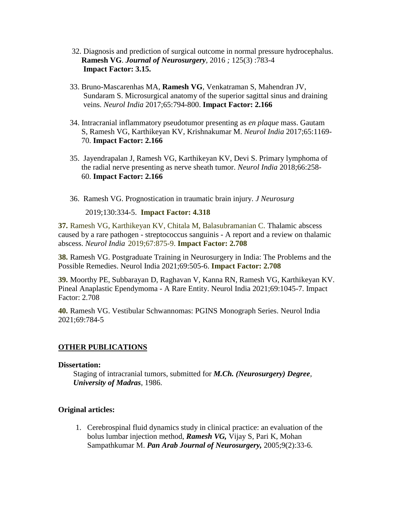- 32. Diagnosis and prediction of surgical outcome in normal pressure hydrocephalus. **Ramesh VG**. *Journal of Neurosurgery,* 2016 *;* 125(3) :783-4 **Impact Factor: 3.15.**
- 33. Bruno-Mascarenhas MA, **Ramesh VG**, Venkatraman S, Mahendran JV, Sundaram S. Microsurgical anatomy of the superior sagittal sinus and draining veins. *Neurol India* 2017;65:794-800. **Impact Factor: 2.166**
- 34. Intracranial inflammatory pseudotumor presenting as *en plaque* mass. Gautam S, Ramesh VG, Karthikeyan KV, Krishnakumar M. *Neurol India* 2017;65:1169- 70. **Impact Factor: 2.166**
- 35. Jayendrapalan J, Ramesh VG, Karthikeyan KV, Devi S. Primary lymphoma of the radial nerve presenting as nerve sheath tumor. *Neurol India* 2018;66:258- 60. **Impact Factor: 2.166**
- 36. Ramesh VG. Prognostication in traumatic brain injury. *J Neurosurg*

2019;130:334-5.**Impact Factor: 4.318**

**37.** Ramesh VG, Karthikeyan KV, Chitala M, Balasubramanian C. [Thalamic abscess](javascript:void(0))  caused by a rare pathogen - streptococcus sanguinis - [A report and a review on thalamic](javascript:void(0))  [abscess.](javascript:void(0)) *Neurol India* 2019;67:875-9. **Impact Factor: 2.708**

**38.** Ramesh VG. Postgraduate Training in Neurosurgery in India: The Problems and the Possible Remedies. Neurol India 2021;69:505-6. **Impact Factor: 2.708**

**39.** Moorthy PE, Subbarayan D, Raghavan V, Kanna RN, Ramesh VG, Karthikeyan KV. Pineal Anaplastic Ependymoma - A Rare Entity. Neurol India 2021;69:1045-7. Impact Factor: 2.708

**40.** Ramesh VG. Vestibular Schwannomas: PGINS Monograph Series. Neurol India 2021;69:784-5

## **OTHER PUBLICATIONS**

#### **Dissertation:**

Staging of intracranial tumors, submitted for *M.Ch. (Neurosurgery) Degree, University of Madras*, 1986.

## **Original articles:**

1. Cerebrospinal fluid dynamics study in clinical practice: an evaluation of the bolus lumbar injection method, *Ramesh VG,* Vijay S, Pari K, Mohan Sampathkumar M. *Pan Arab Journal of Neurosurgery,* 2005;9(2):33-6.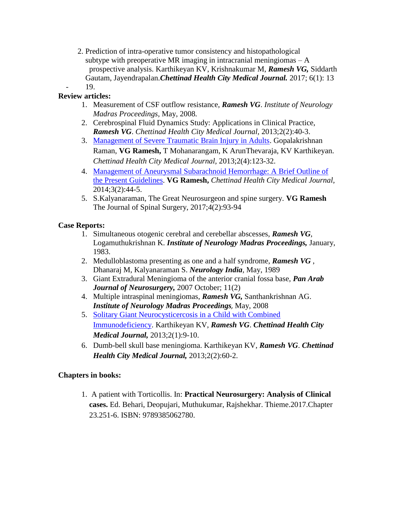2. Prediction of intra-operative tumor consistency and histopathological subtype with preoperative MR imaging in intracranial meningiomas  $-A$ prospective analysis. Karthikeyan KV, Krishnakumar M, *Ramesh VG,* Siddarth Gautam, Jayendrapalan.*Chettinad Health City Medical Journal.* 2017; 6(1): 13 - 19.

# **Review articles:**

- 1. Measurement of CSF outflow resistance, *Ramesh VG*. *Institute of Neurology Madras Proceedings,* May, 2008*.*
- 2. Cerebrospinal Fluid Dynamics Study: Applications in Clinical Practice, *Ramesh VG*. *Chettinad Health City Medical Journal,* 2013;2(2):40-3.
- 3. [Management of Severe Traumatic Brain Injury in Adults.](http://www.chcmj.ac.in/journal/pdf/vol2_no4/vol2_no4_fullbook.pdf#page=21) Gopalakrishnan Raman, **VG Ramesh,** T Mohanarangam, K ArunThevaraja, KV Karthikeyan. *Chettinad Health City Medical Journal,* 2013;2(4):123-32.
- 4. [Management of Aneurysmal Subarachnoid Hemorrhage: A Brief Outline of](http://www.chcmj.ac.in/journal/pdf/vol3_no2/Management.pdf)  [the Present Guidelines.](http://www.chcmj.ac.in/journal/pdf/vol3_no2/Management.pdf) **VG Ramesh,** *Chettinad Health City Medical Journal,* 2014;3(2):44-5.
- 5. S.Kalyanaraman, The Great Neurosurgeon and spine surgery. **VG Ramesh**  The Journal of Spinal Surgery, 2017;4(2):93-94

# **Case Reports:**

- 1. Simultaneous otogenic cerebral and cerebellar abscesses, *Ramesh VG*, Logamuthukrishnan K. *Institute of Neurology Madras Proceedings,* January, 1983.
- 2. Medulloblastoma presenting as one and a half syndrome, *Ramesh VG* , Dhanaraj M, Kalyanaraman S. *Neurology India,* May, 1989
- 3. Giant Extradural Meningioma of the anterior cranial fossa base, *Pan Arab Journal of Neurosurgery,* 2007 October; 11(2)
- 4. Multiple intraspinal meningiomas, *Ramesh VG,* Santhankrishnan AG. *Institute of Neurology Madras Proceedings,* May, 2008
- 5. [Solitary Giant Neurocysticercosis in a Child with Combined](http://www.chcmj.ac.in/journal/pdf/vol2_no1/solitary_gaint.pdf)  [Immunodeficiency.](http://www.chcmj.ac.in/journal/pdf/vol2_no1/solitary_gaint.pdf) Karthikeyan KV, *Ramesh VG*. *Chettinad Health City Medical Journal,* 2013;2(1):9-10.
- 6. Dumb-bell skull base meningioma. Karthikeyan KV, *Ramesh VG*. *Chettinad Health City Medical Journal,* 2013;2(2):60-2.

## **Chapters in books:**

1. A patient with Torticollis. In: **Practical Neurosurgery: Analysis of Clinical cases.** Ed. Behari, Deopujari, Muthukumar, Rajshekhar. Thieme.2017.Chapter 23.251-6. ISBN: 9789385062780.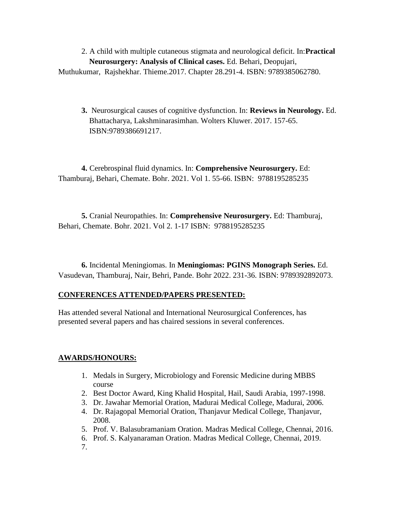2. A child with multiple cutaneous stigmata and neurological deficit. In:**Practical Neurosurgery: Analysis of Clinical cases.** Ed. Behari, Deopujari, Muthukumar, Rajshekhar. Thieme.2017. Chapter 28.291-4. ISBN: 9789385062780.

**3.** Neurosurgical causes of cognitive dysfunction. In: **Reviews in Neurology.** Ed. Bhattacharya, Lakshminarasimhan. Wolters Kluwer. 2017. 157-65. ISBN:9789386691217.

**4.** Cerebrospinal fluid dynamics. In: **Comprehensive Neurosurgery.** Ed: Thamburaj, Behari, Chemate. Bohr. 2021. Vol 1. 55-66. ISBN: 9788195285235

**5.** Cranial Neuropathies. In: **Comprehensive Neurosurgery.** Ed: Thamburaj, Behari, Chemate. Bohr. 2021. Vol 2. 1-17 ISBN: 9788195285235

**6.** Incidental Meningiomas. In **Meningiomas: PGINS Monograph Series.** Ed. Vasudevan, Thamburaj, Nair, Behri, Pande. Bohr 2022. 231-36. ISBN: 9789392892073.

## **CONFERENCES ATTENDED/PAPERS PRESENTED:**

Has attended several National and International Neurosurgical Conferences, has presented several papers and has chaired sessions in several conferences.

## **AWARDS/HONOURS:**

- 1. Medals in Surgery, Microbiology and Forensic Medicine during MBBS course
- 2. Best Doctor Award, King Khalid Hospital, Hail, Saudi Arabia, 1997-1998.
- 3. Dr. Jawahar Memorial Oration, Madurai Medical College, Madurai, 2006.
- 4. Dr. Rajagopal Memorial Oration, Thanjavur Medical College, Thanjavur, 2008.
- 5. Prof. V. Balasubramaniam Oration. Madras Medical College, Chennai, 2016.
- 6. Prof. S. Kalyanaraman Oration. Madras Medical College, Chennai, 2019.
- 7.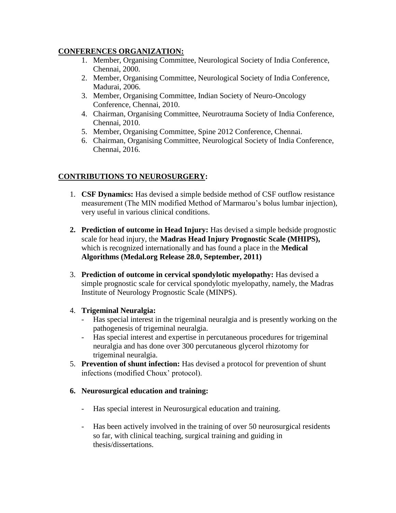### **CONFERENCES ORGANIZATION:**

- 1. Member, Organising Committee, Neurological Society of India Conference, Chennai, 2000.
- 2. Member, Organising Committee, Neurological Society of India Conference, Madurai, 2006.
- 3. Member, Organising Committee, Indian Society of Neuro-Oncology Conference, Chennai, 2010.
- 4. Chairman, Organising Committee, Neurotrauma Society of India Conference, Chennai, 2010.
- 5. Member, Organising Committee, Spine 2012 Conference, Chennai.
- 6. Chairman, Organising Committee, Neurological Society of India Conference, Chennai, 2016.

# **CONTRIBUTIONS TO NEUROSURGERY:**

- 1. **CSF Dynamics:** Has devised a simple bedside method of CSF outflow resistance measurement (The MIN modified Method of Marmarou's bolus lumbar injection), very useful in various clinical conditions.
- **2. Prediction of outcome in Head Injury:** Has devised a simple bedside prognostic scale for head injury, the **Madras Head Injury Prognostic Scale (MHIPS),**  which is recognized internationally and has found a place in the **Medical Algorithms (Medal.org Release 28.0, September, 2011)**
- 3. **Prediction of outcome in cervical spondylotic myelopathy:** Has devised a simple prognostic scale for cervical spondylotic myelopathy, namely, the Madras Institute of Neurology Prognostic Scale (MINPS).
- 4. **Trigeminal Neuralgia:** 
	- Has special interest in the trigeminal neuralgia and is presently working on the pathogenesis of trigeminal neuralgia.
	- Has special interest and expertise in percutaneous procedures for trigeminal neuralgia and has done over 300 percutaneous glycerol rhizotomy for trigeminal neuralgia.
- 5. **Prevention of shunt infection:** Has devised a protocol for prevention of shunt infections (modified Choux' protocol).

## **6. Neurosurgical education and training:**

- Has special interest in Neurosurgical education and training.
- Has been actively involved in the training of over 50 neurosurgical residents so far, with clinical teaching, surgical training and guiding in thesis/dissertations.